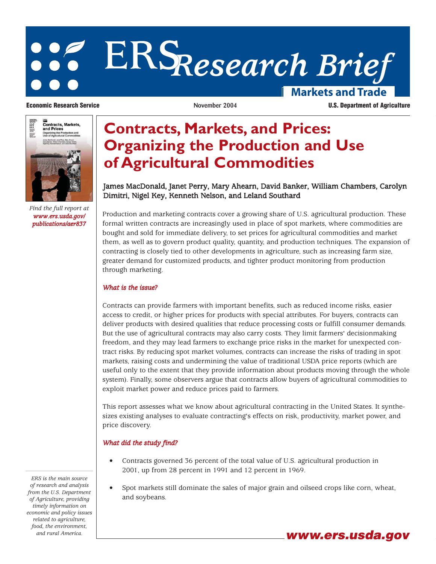# **ERS***Research Brief* **Markets and Trade**



*Find the full report at www.ers.usda.gov/ publications/aer837*

**Economic Research Service November 2004 U.S. Department of Agriculture**

## **Contracts, Markets, and Prices: Organizing the Production and Use of Agricultural Commodities**

### James MacDonald, Janet Perry, Mary Ahearn, David Banker, William Chambers, Carolyn Dimitri, Nigel Key, Kenneth Nelson, and Leland Southard

Production and marketing contracts cover a growing share of U.S. agricultural production. These formal written contracts are increasingly used in place of spot markets, where commodities are bought and sold for immediate delivery, to set prices for agricultural commodities and market them, as well as to govern product quality, quantity, and production techniques. The expansion of contracting is closely tied to other developments in agriculture, such as increasing farm size, greater demand for customized products, and tighter product monitoring from production through marketing.

#### *What is the issue?*

Contracts can provide farmers with important benefits, such as reduced income risks, easier access to credit, or higher prices for products with special attributes. For buyers, contracts can deliver products with desired qualities that reduce processing costs or fulfill consumer demands. But the use of agricultural contracts may also carry costs. They limit farmers' decisionmaking freedom, and they may lead farmers to exchange price risks in the market for unexpected contract risks. By reducing spot market volumes, contracts can increase the risks of trading in spot markets, raising costs and undermining the value of traditional USDA price reports (which are useful only to the extent that they provide information about products moving through the whole system). Finally, some observers argue that contracts allow buyers of agricultural commodities to exploit market power and reduce prices paid to farmers.

This report assesses what we know about agricultural contracting in the United States. It synthesizes existing analyses to evaluate contracting's effects on risk, productivity, market power, and price discovery.

#### *What did the study find?*

- Contracts governed 36 percent of the total value of U.S. agricultural production in 2001, up from 28 percent in 1991 and 12 percent in 1969.
- Spot markets still dominate the sales of major grain and oilseed crops like corn, wheat, and soybeans.

*ERS is the main source of research and analysis from the U.S. Department of Agriculture, providing timely information on economic and policy issues related to agriculture, food, the environment, and rural America.* **www.ers.usda.gov**